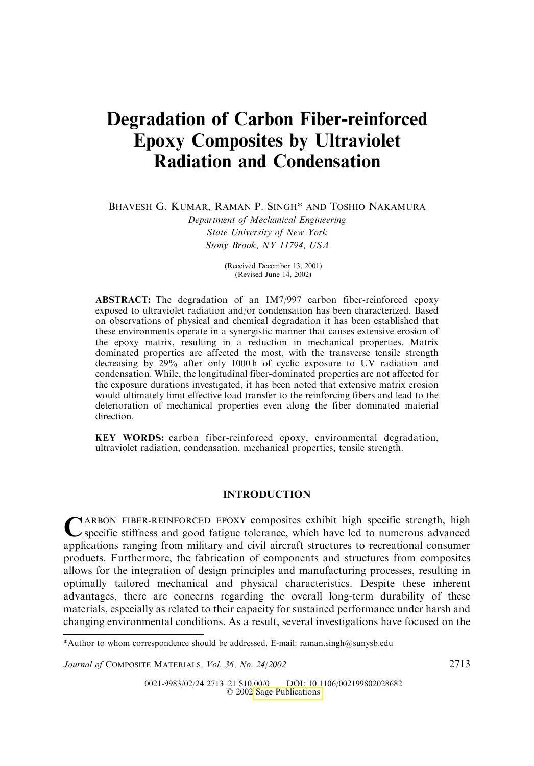# Degradation of Carbon Fiber-reinforced Epoxy Composites by Ultraviolet Radiation and Condensation

BHAVESH G. KUMAR, RAMAN P. SINGH\* AND TOSHIO NAKAMURA

Department of Mechanical Engineering State University of New York Stony Brook, NY 11794, USA

> (Received December 13, 2001) (Revised June 14, 2002)

ABSTRACT: The degradation of an IM7/997 carbon fiber-reinforced epoxy exposed to ultraviolet radiation and/or condensation has been characterized. Based on observations of physical and chemical degradation it has been established that these environments operate in a synergistic manner that causes extensive erosion of the epoxy matrix, resulting in a reduction in mechanical properties. Matrix dominated properties are affected the most, with the transverse tensile strength decreasing by 29% after only 1000 h of cyclic exposure to UV radiation and condensation. While, the longitudinal fiber-dominated properties are not affected for the exposure durations investigated, it has been noted that extensive matrix erosion would ultimately limit effective load transfer to the reinforcing fibers and lead to the deterioration of mechanical properties even along the fiber dominated material direction.

KEY WORDS: carbon fiber-reinforced epoxy, environmental degradation, ultraviolet radiation, condensation, mechanical properties, tensile strength.

## INTRODUCTION

CARBON FIBER-REINFORCED EPOXY composites exhibit high specific strength, high specific stiffness and good fatigue tolerance, which have led to numerous advanced applications ranging from military and civil aircraft structures to recreational consumer products. Furthermore, the fabrication of components and structures from composites allows for the integration of design principles and manufacturing processes, resulting in optimally tailored mechanical and physical characteristics. Despite these inherent advantages, there are concerns regarding the overall long-term durability of these materials, especially as related to their capacity for sustained performance under harsh and changing environmental conditions. As a result, several investigations have focused on the

<sup>\*</sup>Author to whom correspondence should be addressed. E-mail: raman.singh@sunysb.edu

Journal of COMPOSITE MATERIALS, Vol. 36, No. 24/2002 2713

<sup>0021-9983/02/24 2713–21 \$10.00/0</sup> DOI: 10.1106/002199802028682 © 2002 [Sage Publications](www.sagepublications.com)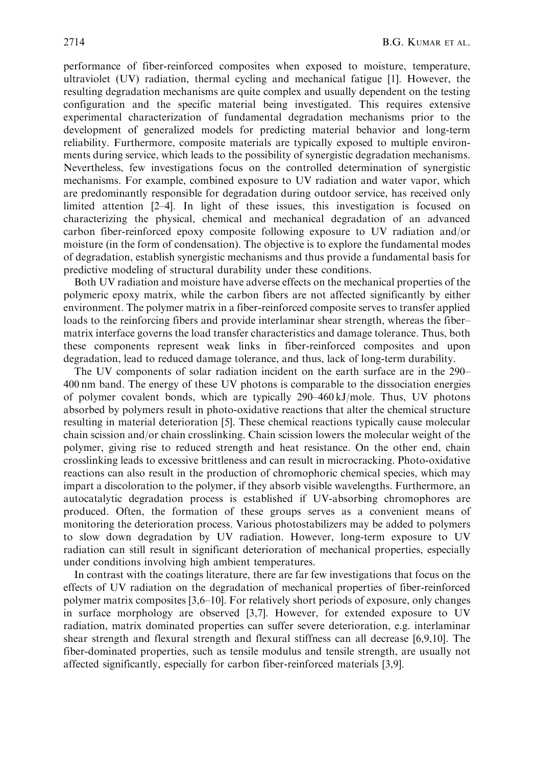performance of fiber-reinforced composites when exposed to moisture, temperature, ultraviolet (UV) radiation, thermal cycling and mechanical fatigue [1]. However, the resulting degradation mechanisms are quite complex and usually dependent on the testing configuration and the specific material being investigated. This requires extensive experimental characterization of fundamental degradation mechanisms prior to the development of generalized models for predicting material behavior and long-term reliability. Furthermore, composite materials are typically exposed to multiple environments during service, which leads to the possibility of synergistic degradation mechanisms. Nevertheless, few investigations focus on the controlled determination of synergistic mechanisms. For example, combined exposure to UV radiation and water vapor, which are predominantly responsible for degradation during outdoor service, has received only limited attention [2–4]. In light of these issues, this investigation is focused on characterizing the physical, chemical and mechanical degradation of an advanced carbon fiber-reinforced epoxy composite following exposure to UV radiation and/or moisture (in the form of condensation). The objective is to explore the fundamental modes of degradation, establish synergistic mechanisms and thus provide a fundamental basis for predictive modeling of structural durability under these conditions.

Both UV radiation and moisture have adverse effects on the mechanical properties of the polymeric epoxy matrix, while the carbon fibers are not affected significantly by either environment. The polymer matrix in a fiber-reinforced composite serves to transfer applied loads to the reinforcing fibers and provide interlaminar shear strength, whereas the fiber– matrix interface governs the load transfer characteristics and damage tolerance. Thus, both these components represent weak links in fiber-reinforced composites and upon degradation, lead to reduced damage tolerance, and thus, lack of long-term durability.

The UV components of solar radiation incident on the earth surface are in the 290– 400 nm band. The energy of these UV photons is comparable to the dissociation energies of polymer covalent bonds, which are typically 290–460 kJ/mole. Thus, UV photons absorbed by polymers result in photo-oxidative reactions that alter the chemical structure resulting in material deterioration [5]. These chemical reactions typically cause molecular chain scission and/or chain crosslinking. Chain scission lowers the molecular weight of the polymer, giving rise to reduced strength and heat resistance. On the other end, chain crosslinking leads to excessive brittleness and can result in microcracking. Photo-oxidative reactions can also result in the production of chromophoric chemical species, which may impart a discoloration to the polymer, if they absorb visible wavelengths. Furthermore, an autocatalytic degradation process is established if UV-absorbing chromophores are produced. Often, the formation of these groups serves as a convenient means of monitoring the deterioration process. Various photostabilizers may be added to polymers to slow down degradation by UV radiation. However, long-term exposure to UV radiation can still result in significant deterioration of mechanical properties, especially under conditions involving high ambient temperatures.

In contrast with the coatings literature, there are far few investigations that focus on the effects of UV radiation on the degradation of mechanical properties of fiber-reinforced polymer matrix composites [3,6–10]. For relatively short periods of exposure, only changes in surface morphology are observed [3,7]. However, for extended exposure to UV radiation, matrix dominated properties can suffer severe deterioration, e.g. interlaminar shear strength and flexural strength and flexural stiffness can all decrease [6,9,10]. The fiber-dominated properties, such as tensile modulus and tensile strength, are usually not affected significantly, especially for carbon fiber-reinforced materials [3,9].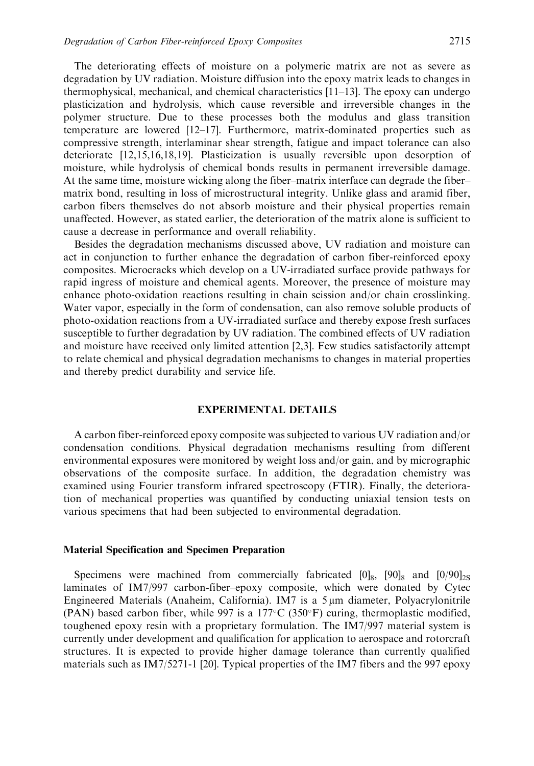The deteriorating effects of moisture on a polymeric matrix are not as severe as degradation by UV radiation. Moisture diffusion into the epoxy matrix leads to changes in thermophysical, mechanical, and chemical characteristics [11–13]. The epoxy can undergo plasticization and hydrolysis, which cause reversible and irreversible changes in the polymer structure. Due to these processes both the modulus and glass transition temperature are lowered [12–17]. Furthermore, matrix-dominated properties such as compressive strength, interlaminar shear strength, fatigue and impact tolerance can also deteriorate [12,15,16,18,19]. Plasticization is usually reversible upon desorption of moisture, while hydrolysis of chemical bonds results in permanent irreversible damage. At the same time, moisture wicking along the fiber–matrix interface can degrade the fiber– matrix bond, resulting in loss of microstructural integrity. Unlike glass and aramid fiber, carbon fibers themselves do not absorb moisture and their physical properties remain unaffected. However, as stated earlier, the deterioration of the matrix alone is sufficient to cause a decrease in performance and overall reliability.

Besides the degradation mechanisms discussed above, UV radiation and moisture can act in conjunction to further enhance the degradation of carbon fiber-reinforced epoxy composites. Microcracks which develop on a UV-irradiated surface provide pathways for rapid ingress of moisture and chemical agents. Moreover, the presence of moisture may enhance photo-oxidation reactions resulting in chain scission and/or chain crosslinking. Water vapor, especially in the form of condensation, can also remove soluble products of photo-oxidation reactions from a UV-irradiated surface and thereby expose fresh surfaces susceptible to further degradation by UV radiation. The combined effects of UV radiation and moisture have received only limited attention [2,3]. Few studies satisfactorily attempt to relate chemical and physical degradation mechanisms to changes in material properties and thereby predict durability and service life.

#### EXPERIMENTAL DETAILS

A carbon fiber-reinforced epoxy composite was subjected to various UV radiation and/or condensation conditions. Physical degradation mechanisms resulting from different environmental exposures were monitored by weight loss and/or gain, and by micrographic observations of the composite surface. In addition, the degradation chemistry was examined using Fourier transform infrared spectroscopy (FTIR). Finally, the deterioration of mechanical properties was quantified by conducting uniaxial tension tests on various specimens that had been subjected to environmental degradation.

#### Material Specification and Specimen Preparation

Specimens were machined from commercially fabricated  $[0]_8$ ,  $[90]_8$  and  $[0/90]_{2s}$ laminates of IM7/997 carbon-fiber–epoxy composite, which were donated by Cytec Engineered Materials (Anaheim, California). IM7 is a 5  $\mu$ m diameter, Polyacrylonitrile (PAN) based carbon fiber, while 997 is a  $177^{\circ}$ C (350°F) curing, thermoplastic modified, toughened epoxy resin with a proprietary formulation. The IM7/997 material system is currently under development and qualification for application to aerospace and rotorcraft structures. It is expected to provide higher damage tolerance than currently qualified materials such as IM7/5271-1 [20]. Typical properties of the IM7 fibers and the 997 epoxy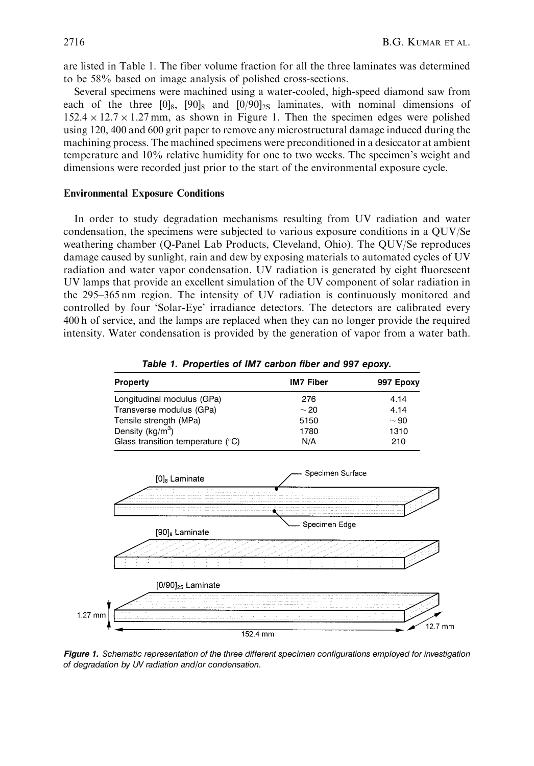are listed in Table 1. The fiber volume fraction for all the three laminates was determined to be 58% based on image analysis of polished cross-sections.

Several specimens were machined using a water-cooled, high-speed diamond saw from each of the three  $[0]_8$ ,  $[90]_8$  and  $[0/90]_{2S}$  laminates, with nominal dimensions of  $152.4 \times 12.7 \times 1.27$  mm, as shown in Figure 1. Then the specimen edges were polished using 120, 400 and 600 grit paper to remove any microstructural damage induced during the machining process. The machined specimens were preconditioned in a desiccator at ambient temperature and 10% relative humidity for one to two weeks. The specimen's weight and dimensions were recorded just prior to the start of the environmental exposure cycle.

## Environmental Exposure Conditions

In order to study degradation mechanisms resulting from UV radiation and water condensation, the specimens were subjected to various exposure conditions in a QUV/Se weathering chamber (Q-Panel Lab Products, Cleveland, Ohio). The QUV/Se reproduces damage caused by sunlight, rain and dew by exposing materials to automated cycles of UV radiation and water vapor condensation. UV radiation is generated by eight fluorescent UV lamps that provide an excellent simulation of the UV component of solar radiation in the 295–365 nm region. The intensity of UV radiation is continuously monitored and controlled by four 'Solar-Eye' irradiance detectors. The detectors are calibrated every 400 h of service, and the lamps are replaced when they can no longer provide the required intensity. Water condensation is provided by the generation of vapor from a water bath.

| <b>Property</b>                            | <b>IM7 Fiber</b> | 997 Epoxy |
|--------------------------------------------|------------------|-----------|
| Longitudinal modulus (GPa)                 | 276              | 4.14      |
| Transverse modulus (GPa)                   | $\sim$ 20        | 4.14      |
| Tensile strength (MPa)                     | 5150             | $\sim$ 90 |
| Density ( $kq/m^3$ )                       | 1780             | 1310      |
| Glass transition temperature $(^{\circ}C)$ | N/A              | 210       |

Table 1. Properties of IM7 carbon fiber and 997 epoxy.



Figure 1. Schematic representation of the three different specimen configurations employed for investigation of degradation by UV radiation and/or condensation.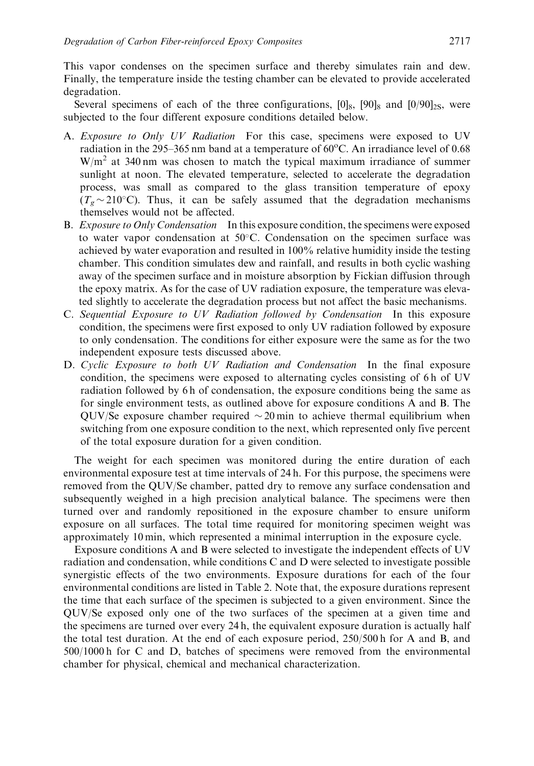This vapor condenses on the specimen surface and thereby simulates rain and dew. Finally, the temperature inside the testing chamber can be elevated to provide accelerated degradation.

Several specimens of each of the three configurations,  $[0]_8$ ,  $[90]_8$  and  $[0/90]_{25}$ , were subjected to the four different exposure conditions detailed below.

- A. Exposure to Only UV Radiation For this case, specimens were exposed to UV radiation in the 295–365 nm band at a temperature of  $60^{\circ}$ C. An irradiance level of 0.68  $W/m<sup>2</sup>$  at 340 nm was chosen to match the typical maximum irradiance of summer sunlight at noon. The elevated temperature, selected to accelerate the degradation process, was small as compared to the glass transition temperature of epoxy  $(T_e \sim 210^{\circ}$ C). Thus, it can be safely assumed that the degradation mechanisms themselves would not be affected.
- B. *Exposure to Only Condensation* In this exposure condition, the specimens were exposed to water vapor condensation at  $50^{\circ}$ C. Condensation on the specimen surface was achieved by water evaporation and resulted in 100% relative humidity inside the testing chamber. This condition simulates dew and rainfall, and results in both cyclic washing away of the specimen surface and in moisture absorption by Fickian diffusion through the epoxy matrix. As for the case of UV radiation exposure, the temperature was elevated slightly to accelerate the degradation process but not affect the basic mechanisms.
- C. Sequential Exposure to UV Radiation followed by Condensation In this exposure condition, the specimens were first exposed to only UV radiation followed by exposure to only condensation. The conditions for either exposure were the same as for the two independent exposure tests discussed above.
- D. Cyclic Exposure to both UV Radiation and Condensation In the final exposure condition, the specimens were exposed to alternating cycles consisting of 6 h of UV radiation followed by 6 h of condensation, the exposure conditions being the same as for single environment tests, as outlined above for exposure conditions A and B. The QUV/Se exposure chamber required  $\sim$  20 min to achieve thermal equilibrium when switching from one exposure condition to the next, which represented only five percent of the total exposure duration for a given condition.

The weight for each specimen was monitored during the entire duration of each environmental exposure test at time intervals of 24 h. For this purpose, the specimens were removed from the QUV/Se chamber, patted dry to remove any surface condensation and subsequently weighed in a high precision analytical balance. The specimens were then turned over and randomly repositioned in the exposure chamber to ensure uniform exposure on all surfaces. The total time required for monitoring specimen weight was approximately 10 min, which represented a minimal interruption in the exposure cycle.

Exposure conditions A and B were selected to investigate the independent effects of UV radiation and condensation, while conditions C and D were selected to investigate possible synergistic effects of the two environments. Exposure durations for each of the four environmental conditions are listed in Table 2. Note that, the exposure durations represent the time that each surface of the specimen is subjected to a given environment. Since the QUV/Se exposed only one of the two surfaces of the specimen at a given time and the specimens are turned over every 24 h, the equivalent exposure duration is actually half the total test duration. At the end of each exposure period, 250/500 h for A and B, and 500/1000 h for C and D, batches of specimens were removed from the environmental chamber for physical, chemical and mechanical characterization.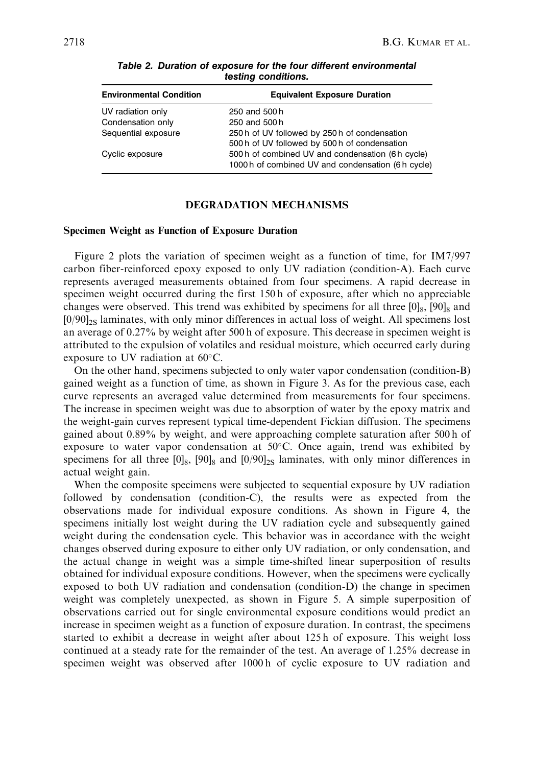| <b>Environmental Condition</b> | <b>Equivalent Exposure Duration</b>                                                                     |
|--------------------------------|---------------------------------------------------------------------------------------------------------|
| UV radiation only              | 250 and 500 h                                                                                           |
| Condensation only              | 250 and 500 h                                                                                           |
| Sequential exposure            | 250 h of UV followed by 250 h of condensation<br>500 h of UV followed by 500 h of condensation          |
| Cyclic exposure                | 500 h of combined UV and condensation (6 h cycle)<br>1000 h of combined UV and condensation (6 h cycle) |

Table 2. Duration of exposure for the four different environmental testing conditions.

## DEGRADATION MECHANISMS

#### Specimen Weight as Function of Exposure Duration

Figure 2 plots the variation of specimen weight as a function of time, for  $IM7/997$ carbon fiber-reinforced epoxy exposed to only UV radiation (condition-A). Each curve represents averaged measurements obtained from four specimens. A rapid decrease in specimen weight occurred during the first 150 h of exposure, after which no appreciable changes were observed. This trend was exhibited by specimens for all three  $[0]_8$ ,  $[90]_8$  and  $[0/90]_{2S}$  laminates, with only minor differences in actual loss of weight. All specimens lost an average of 0.27% by weight after 500 h of exposure. This decrease in specimen weight is attributed to the expulsion of volatiles and residual moisture, which occurred early during exposure to UV radiation at  $60^{\circ}$ C.

On the other hand, specimens subjected to only water vapor condensation (condition-B) gained weight as a function of time, as shown in Figure 3. As for the previous case, each curve represents an averaged value determined from measurements for four specimens. The increase in specimen weight was due to absorption of water by the epoxy matrix and the weight-gain curves represent typical time-dependent Fickian diffusion. The specimens gained about 0.89% by weight, and were approaching complete saturation after 500 h of exposure to water vapor condensation at  $50^{\circ}$ C. Once again, trend was exhibited by specimens for all three  $[0]_8$ ,  $[90]_8$  and  $[0/90]_{2S}$  laminates, with only minor differences in actual weight gain.

When the composite specimens were subjected to sequential exposure by UV radiation followed by condensation (condition-C), the results were as expected from the observations made for individual exposure conditions. As shown in Figure 4, the specimens initially lost weight during the UV radiation cycle and subsequently gained weight during the condensation cycle. This behavior was in accordance with the weight changes observed during exposure to either only UV radiation, or only condensation, and the actual change in weight was a simple time-shifted linear superposition of results obtained for individual exposure conditions. However, when the specimens were cyclically exposed to both UV radiation and condensation (condition-D) the change in specimen weight was completely unexpected, as shown in Figure 5. A simple superposition of observations carried out for single environmental exposure conditions would predict an increase in specimen weight as a function of exposure duration. In contrast, the specimens started to exhibit a decrease in weight after about 125 h of exposure. This weight loss continued at a steady rate for the remainder of the test. An average of 1.25% decrease in specimen weight was observed after 1000 h of cyclic exposure to UV radiation and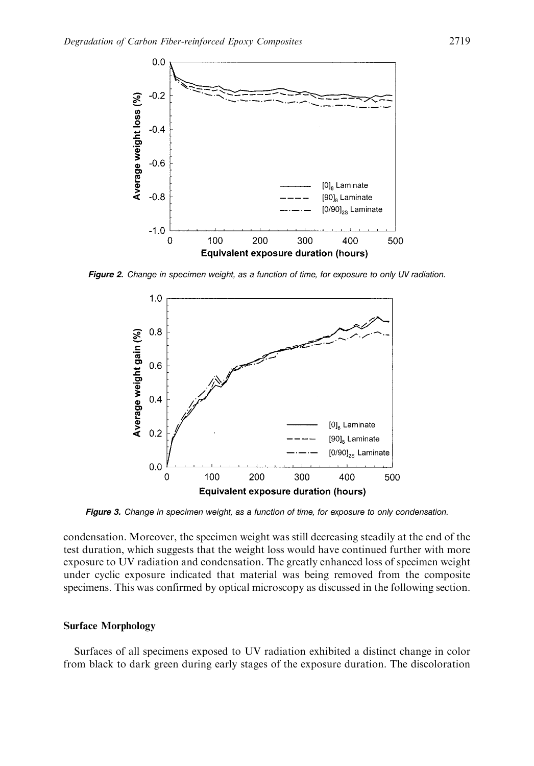

Figure 2. Change in specimen weight, as a function of time, for exposure to only UV radiation.



Figure 3. Change in specimen weight, as a function of time, for exposure to only condensation.

condensation. Moreover, the specimen weight was still decreasing steadily at the end of the test duration, which suggests that the weight loss would have continued further with more exposure to UV radiation and condensation. The greatly enhanced loss of specimen weight under cyclic exposure indicated that material was being removed from the composite specimens. This was confirmed by optical microscopy as discussed in the following section.

## Surface Morphology

Surfaces of all specimens exposed to UV radiation exhibited a distinct change in color from black to dark green during early stages of the exposure duration. The discoloration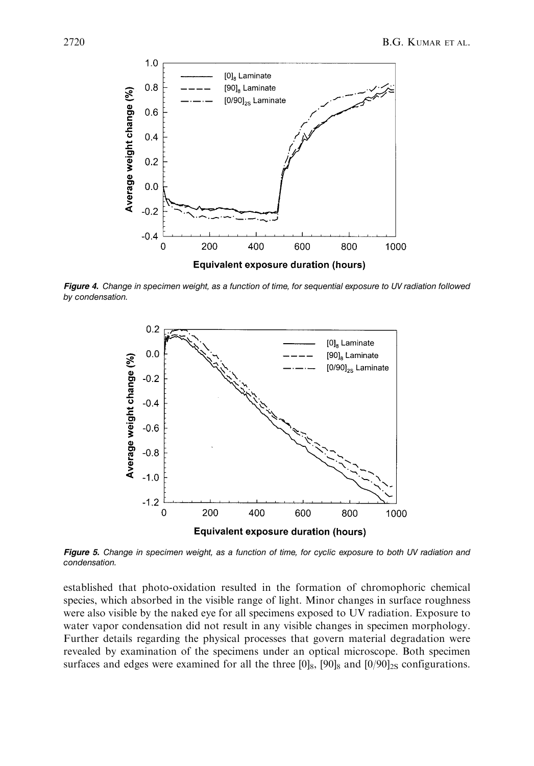

Figure 4. Change in specimen weight, as a function of time, for sequential exposure to UV radiation followed by condensation.



Figure 5. Change in specimen weight, as a function of time, for cyclic exposure to both UV radiation and condensation.

established that photo-oxidation resulted in the formation of chromophoric chemical species, which absorbed in the visible range of light. Minor changes in surface roughness were also visible by the naked eye for all specimens exposed to UV radiation. Exposure to water vapor condensation did not result in any visible changes in specimen morphology. Further details regarding the physical processes that govern material degradation were revealed by examination of the specimens under an optical microscope. Both specimen surfaces and edges were examined for all the three  $[0]_8$ ,  $[90]_8$  and  $[0/90]_{2S}$  configurations.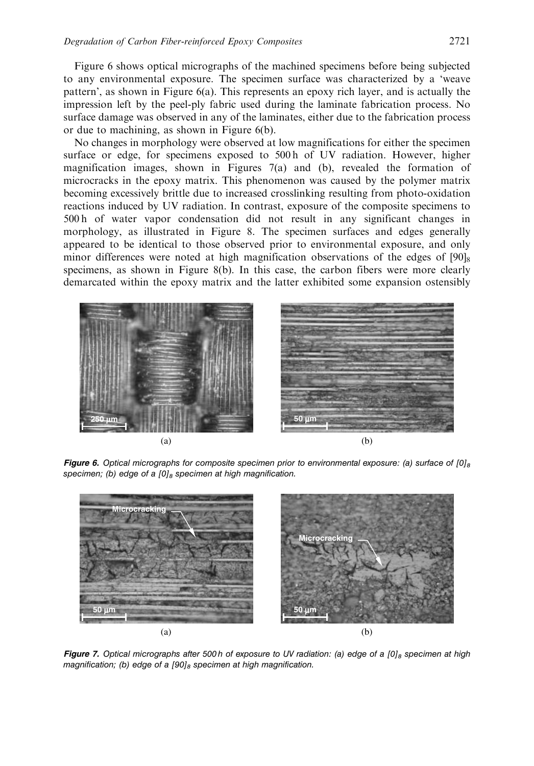Figure 6 shows optical micrographs of the machined specimens before being subjected to any environmental exposure. The specimen surface was characterized by a 'weave pattern', as shown in Figure 6(a). This represents an epoxy rich layer, and is actually the impression left by the peel-ply fabric used during the laminate fabrication process. No surface damage was observed in any of the laminates, either due to the fabrication process or due to machining, as shown in Figure 6(b).

No changes in morphology were observed at low magnifications for either the specimen surface or edge, for specimens exposed to 500 h of UV radiation. However, higher magnification images, shown in Figures 7(a) and (b), revealed the formation of microcracks in the epoxy matrix. This phenomenon was caused by the polymer matrix becoming excessively brittle due to increased crosslinking resulting from photo-oxidation reactions induced by UV radiation. In contrast, exposure of the composite specimens to 500 h of water vapor condensation did not result in any significant changes in morphology, as illustrated in Figure 8. The specimen surfaces and edges generally appeared to be identical to those observed prior to environmental exposure, and only minor differences were noted at high magnification observations of the edges of  $[90]_8$ specimens, as shown in Figure 8(b). In this case, the carbon fibers were more clearly demarcated within the epoxy matrix and the latter exhibited some expansion ostensibly



Figure 6. Optical micrographs for composite specimen prior to environmental exposure: (a) surface of  $[0]_8$ specimen; (b) edge of a  $[0]_8$  specimen at high magnification.



Figure 7. Optical micrographs after 500 h of exposure to UV radiation: (a) edge of a  $[0]_8$  specimen at high magnification; (b) edge of a  $[90]_8$  specimen at high magnification.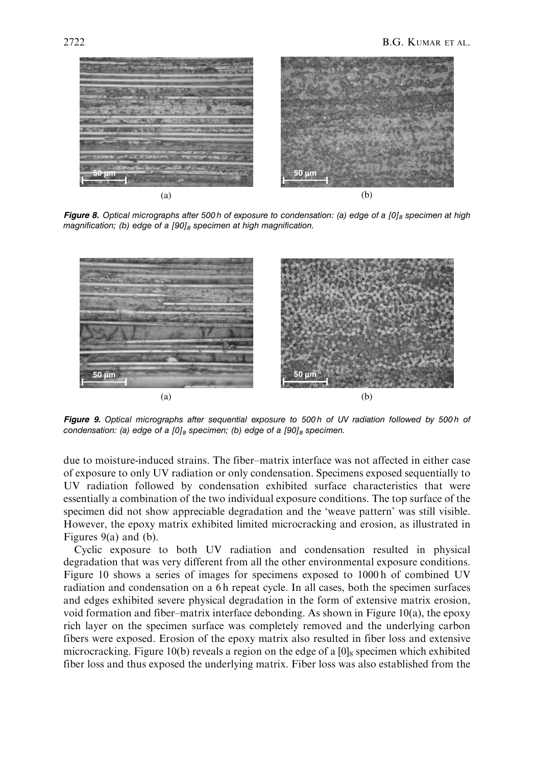

Figure 8. Optical micrographs after 500 h of exposure to condensation: (a) edge of a  $[0]_8$  specimen at high magnification; (b) edge of a  $[90]_8$  specimen at high magnification.



Figure 9. Optical micrographs after sequential exposure to 500h of UV radiation followed by 500h of condensation: (a) edge of a  $[0]_8$  specimen; (b) edge of a  $[90]_8$  specimen.

due to moisture-induced strains. The fiber–matrix interface was not affected in either case of exposure to only UV radiation or only condensation. Specimens exposed sequentially to UV radiation followed by condensation exhibited surface characteristics that were essentially a combination of the two individual exposure conditions. The top surface of the specimen did not show appreciable degradation and the 'weave pattern' was still visible. However, the epoxy matrix exhibited limited microcracking and erosion, as illustrated in Figures 9(a) and (b).

Cyclic exposure to both UV radiation and condensation resulted in physical degradation that was very different from all the other environmental exposure conditions. Figure 10 shows a series of images for specimens exposed to 1000 h of combined UV radiation and condensation on a 6 h repeat cycle. In all cases, both the specimen surfaces and edges exhibited severe physical degradation in the form of extensive matrix erosion, void formation and fiber–matrix interface debonding. As shown in Figure 10(a), the epoxy rich layer on the specimen surface was completely removed and the underlying carbon fibers were exposed. Erosion of the epoxy matrix also resulted in fiber loss and extensive microcracking. Figure 10(b) reveals a region on the edge of a  $[0]_8$  specimen which exhibited fiber loss and thus exposed the underlying matrix. Fiber loss was also established from the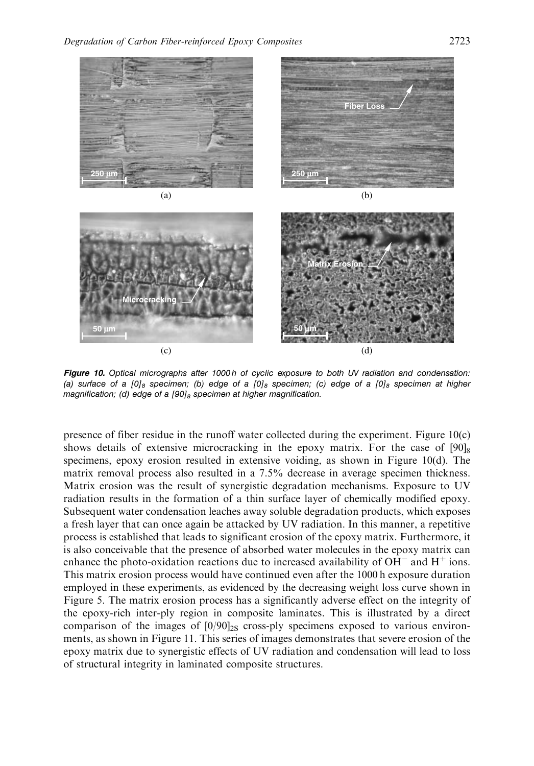

Figure 10. Optical micrographs after 1000 h of cyclic exposure to both UV radiation and condensation: (a) surface of a  $[0]_8$  specimen; (b) edge of a  $[0]_8$  specimen; (c) edge of a  $[0]_8$  specimen at higher magnification; (d) edge of a  $[90]_8$  specimen at higher magnification.

presence of fiber residue in the runoff water collected during the experiment. Figure 10(c) shows details of extensive microcracking in the epoxy matrix. For the case of  $[90]_8$ specimens, epoxy erosion resulted in extensive voiding, as shown in Figure 10(d). The matrix removal process also resulted in a 7.5% decrease in average specimen thickness. Matrix erosion was the result of synergistic degradation mechanisms. Exposure to UV radiation results in the formation of a thin surface layer of chemically modified epoxy. Subsequent water condensation leaches away soluble degradation products, which exposes a fresh layer that can once again be attacked by UV radiation. In this manner, a repetitive process is established that leads to significant erosion of the epoxy matrix. Furthermore, it is also conceivable that the presence of absorbed water molecules in the epoxy matrix can enhance the photo-oxidation reactions due to increased availability of  $OH^-$  and  $H^+$  ions. This matrix erosion process would have continued even after the 1000 h exposure duration employed in these experiments, as evidenced by the decreasing weight loss curve shown in Figure 5. The matrix erosion process has a significantly adverse effect on the integrity of the epoxy-rich inter-ply region in composite laminates. This is illustrated by a direct comparison of the images of  $[0/90]_{2S}$  cross-ply specimens exposed to various environments, as shown in Figure 11. This series of images demonstrates that severe erosion of the epoxy matrix due to synergistic effects of UV radiation and condensation will lead to loss of structural integrity in laminated composite structures.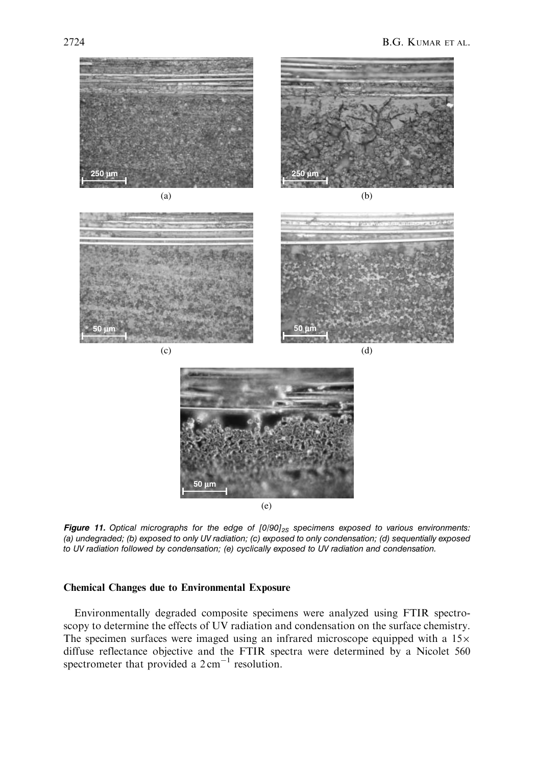

(e)

Figure 11. Optical micrographs for the edge of  $[0/90]_{2S}$  specimens exposed to various environments: (a) undegraded; (b) exposed to only UV radiation; (c) exposed to only condensation; (d) sequentially exposed to UV radiation followed by condensation; (e) cyclically exposed to UV radiation and condensation.

### Chemical Changes due to Environmental Exposure

Environmentally degraded composite specimens were analyzed using FTIR spectroscopy to determine the effects of UV radiation and condensation on the surface chemistry. The specimen surfaces were imaged using an infrared microscope equipped with a  $15\times$ diffuse reflectance objective and the FTIR spectra were determined by a Nicolet 560 spectrometer that provided a  $2 \text{ cm}^{-1}$  resolution.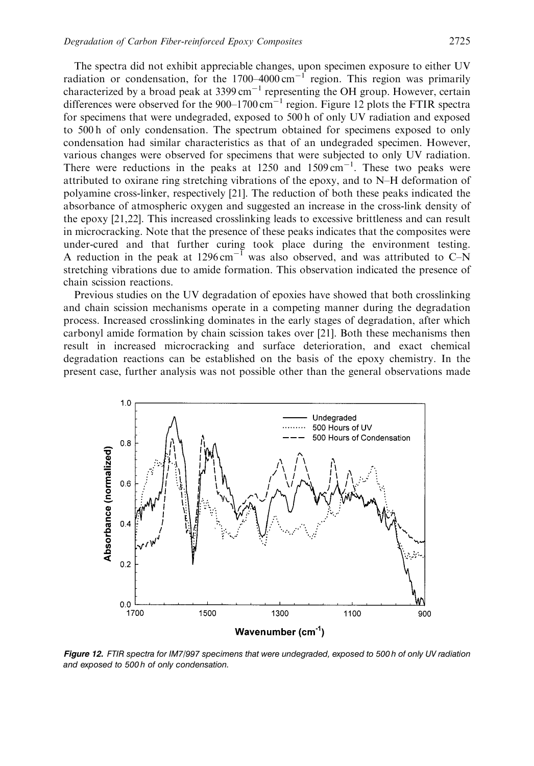The spectra did not exhibit appreciable changes, upon specimen exposure to either UV radiation or condensation, for the  $1700-4000 \text{ cm}^{-1}$  region. This region was primarily characterized by a broad peak at  $3399 \text{ cm}^{-1}$  representing the OH group. However, certain differences were observed for the  $900-1700 \text{ cm}^{-1}$  region. Figure 12 plots the FTIR spectra for specimens that were undegraded, exposed to 500 h of only UV radiation and exposed to 500 h of only condensation. The spectrum obtained for specimens exposed to only condensation had similar characteristics as that of an undegraded specimen. However, various changes were observed for specimens that were subjected to only UV radiation. There were reductions in the peaks at  $1250$  and  $1509 \text{ cm}^{-1}$ . These two peaks were attributed to oxirane ring stretching vibrations of the epoxy, and to N–H deformation of polyamine cross-linker, respectively [21]. The reduction of both these peaks indicated the absorbance of atmospheric oxygen and suggested an increase in the cross-link density of the epoxy [21,22]. This increased crosslinking leads to excessive brittleness and can result in microcracking. Note that the presence of these peaks indicates that the composites were under-cured and that further curing took place during the environment testing. A reduction in the peak at  $1296 \text{ cm}^{-1}$  was also observed, and was attributed to C–N stretching vibrations due to amide formation. This observation indicated the presence of chain scission reactions.

Previous studies on the UV degradation of epoxies have showed that both crosslinking and chain scission mechanisms operate in a competing manner during the degradation process. Increased crosslinking dominates in the early stages of degradation, after which carbonyl amide formation by chain scission takes over [21]. Both these mechanisms then result in increased microcracking and surface deterioration, and exact chemical degradation reactions can be established on the basis of the epoxy chemistry. In the present case, further analysis was not possible other than the general observations made



Figure 12. FTIR spectra for IM7/997 specimens that were undegraded, exposed to 500 h of only UV radiation and exposed to 500 h of only condensation.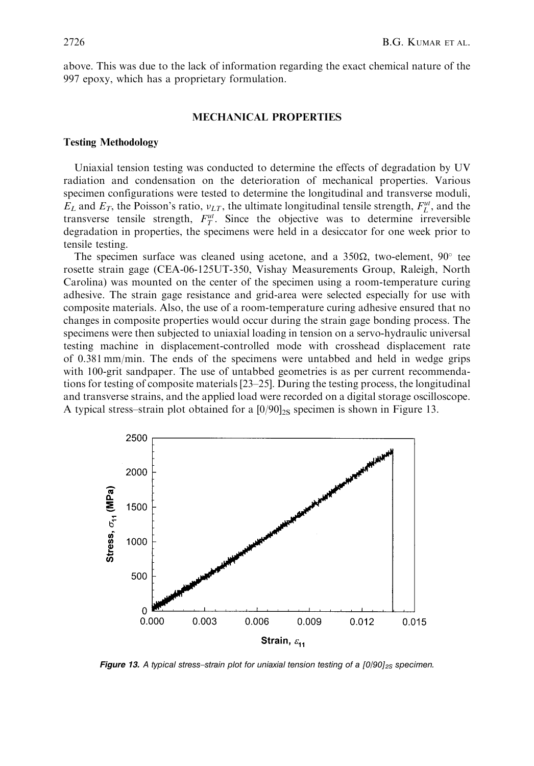above. This was due to the lack of information regarding the exact chemical nature of the 997 epoxy, which has a proprietary formulation.

#### MECHANICAL PROPERTIES

#### Testing Methodology

Uniaxial tension testing was conducted to determine the effects of degradation by UV radiation and condensation on the deterioration of mechanical properties. Various specimen configurations were tested to determine the longitudinal and transverse moduli,  $E_L$  and  $E_T$ , the Poisson's ratio,  $v_{LT}$ , the ultimate longitudinal tensile strength,  $F_L^{ut}$ , and the transverse tensile strength,  $F_T^{ut}$ . Since the objective was to determine irreversible degradation in properties, the specimens were held in a desiccator for one week prior to tensile testing.

The specimen surface was cleaned using acetone, and a 350 $\Omega$ , two-element,  $90^{\circ}$  tee rosette strain gage (CEA-06-125UT-350, Vishay Measurements Group, Raleigh, North Carolina) was mounted on the center of the specimen using a room-temperature curing adhesive. The strain gage resistance and grid-area were selected especially for use with composite materials. Also, the use of a room-temperature curing adhesive ensured that no changes in composite properties would occur during the strain gage bonding process. The specimens were then subjected to uniaxial loading in tension on a servo-hydraulic universal testing machine in displacement-controlled mode with crosshead displacement rate of 0.381 mm/min. The ends of the specimens were untabbed and held in wedge grips with 100-grit sandpaper. The use of untabbed geometries is as per current recommendations for testing of composite materials [23–25]. During the testing process, the longitudinal and transverse strains, and the applied load were recorded on a digital storage oscilloscope. A typical stress–strain plot obtained for a  $[0/90]_{2S}$  specimen is shown in Figure 13.



Figure 13. A typical stress-strain plot for uniaxial tension testing of a  $[0/90]_{2S}$  specimen.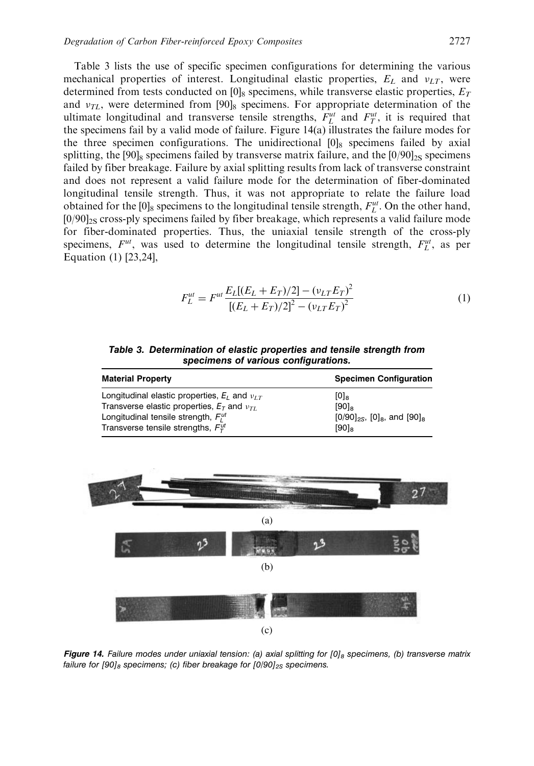Table 3 lists the use of specific specimen configurations for determining the various mechanical properties of interest. Longitudinal elastic properties,  $E_L$  and  $v_{LT}$ , were determined from tests conducted on  $[0]_8$  specimens, while transverse elastic properties,  $E_T$ and  $v_{TL}$ , were determined from [90]<sub>8</sub> specimens. For appropriate determination of the ultimate longitudinal and transverse tensile strengths,  $F_L^{ut}$  and  $F_T^{ut}$ , it is required that the specimens fail by a valid mode of failure. Figure 14(a) illustrates the failure modes for the three specimen configurations. The unidirectional  $[0]_8$  specimens failed by axial splitting, the [90]<sub>8</sub> specimens failed by transverse matrix failure, and the  $[0/90]_{2S}$  specimens failed by fiber breakage. Failure by axial splitting results from lack of transverse constraint and does not represent a valid failure mode for the determination of fiber-dominated longitudinal tensile strength. Thus, it was not appropriate to relate the failure load obtained for the  $[0]_8$  specimens to the longitudinal tensile strength,  $F_L^{ut}$ . On the other hand,  $[0/90]_{2S}$  cross-ply specimens failed by fiber breakage, which represents a valid failure mode for fiber-dominated properties. Thus, the uniaxial tensile strength of the cross-ply specimens,  $F^{ut}$ , was used to determine the longitudinal tensile strength,  $F_L^{ut}$ , as per Equation (1) [23,24],

$$
F_L^{ut} = F^{ut} \frac{E_L[(E_L + E_T)/2] - (\nu_L \tau E_T)^2}{[(E_L + E_T)/2]^2 - (\nu_L \tau E_T)^2}
$$
(1)

Table 3. Determination of elastic properties and tensile strength from specimens of various configurations.

| <b>Material Property</b>                            | <b>Specimen Configuration</b>          |  |
|-----------------------------------------------------|----------------------------------------|--|
| Longitudinal elastic properties, $E_l$ and $v_{LT}$ | $[0]_8$                                |  |
| Transverse elastic properties, $E\tau$ and $v\tauL$ | $[90]_{8}$                             |  |
| Longitudinal tensile strength, $F_{\mu}^{ut}$       | $[0/90]_{2S}$ , $[0]_8$ , and $[90]_8$ |  |
| Transverse tensile strengths, $F_{\tau}^{ut}$       | $[90]_{8}$                             |  |



Figure 14. Failure modes under uniaxial tension: (a) axial splitting for  $[0]_8$  specimens, (b) transverse matrix failure for  $[90]_8$  specimens; (c) fiber breakage for  $[0/90]_{2S}$  specimens.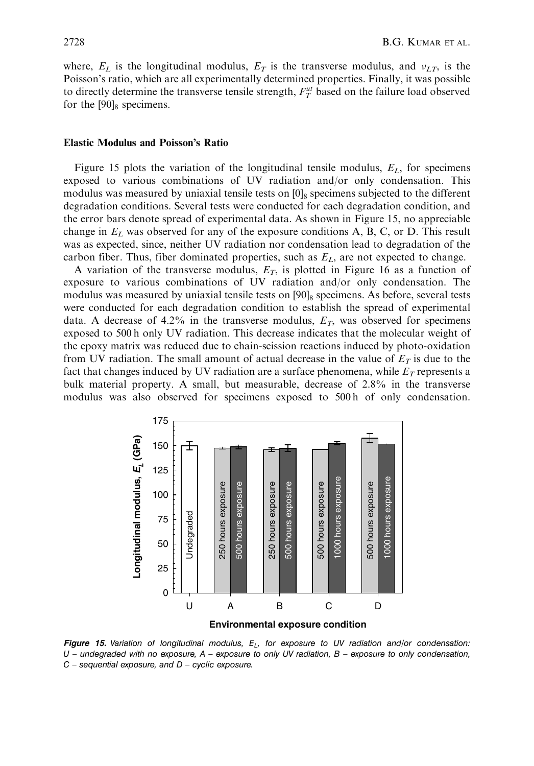where,  $E_L$  is the longitudinal modulus,  $E_T$  is the transverse modulus, and  $v_{LT}$ , is the Poisson's ratio, which are all experimentally determined properties. Finally, it was possible to directly determine the transverse tensile strength,  $F_T^{ut}$  based on the failure load observed for the  $[90]_8$  specimens.

#### Elastic Modulus and Poisson's Ratio

Figure 15 plots the variation of the longitudinal tensile modulus,  $E_L$ , for specimens exposed to various combinations of UV radiation and/or only condensation. This modulus was measured by uniaxial tensile tests on  $[0]_8$  specimens subjected to the different degradation conditions. Several tests were conducted for each degradation condition, and the error bars denote spread of experimental data. As shown in Figure 15, no appreciable change in  $E_L$  was observed for any of the exposure conditions A, B, C, or D. This result was as expected, since, neither UV radiation nor condensation lead to degradation of the carbon fiber. Thus, fiber dominated properties, such as  $E_L$ , are not expected to change.

A variation of the transverse modulus,  $E_T$ , is plotted in Figure 16 as a function of exposure to various combinations of UV radiation and/or only condensation. The modulus was measured by uniaxial tensile tests on  $[90]_8$  specimens. As before, several tests were conducted for each degradation condition to establish the spread of experimental data. A decrease of 4.2% in the transverse modulus,  $E_T$ , was observed for specimens exposed to 500 h only UV radiation. This decrease indicates that the molecular weight of the epoxy matrix was reduced due to chain-scission reactions induced by photo-oxidation from UV radiation. The small amount of actual decrease in the value of  $E_T$  is due to the fact that changes induced by UV radiation are a surface phenomena, while  $E_T$  represents a bulk material property. A small, but measurable, decrease of 2.8% in the transverse modulus was also observed for specimens exposed to 500h of only condensation.



Figure 15. Variation of longitudinal modulus,  $E_L$ , for exposure to UV radiation and/or condensation:  $U$  – undegraded with no exposure,  $A$  – exposure to only UV radiation,  $B$  – exposure to only condensation,  $C$  – sequential exposure, and  $D$  – cyclic exposure.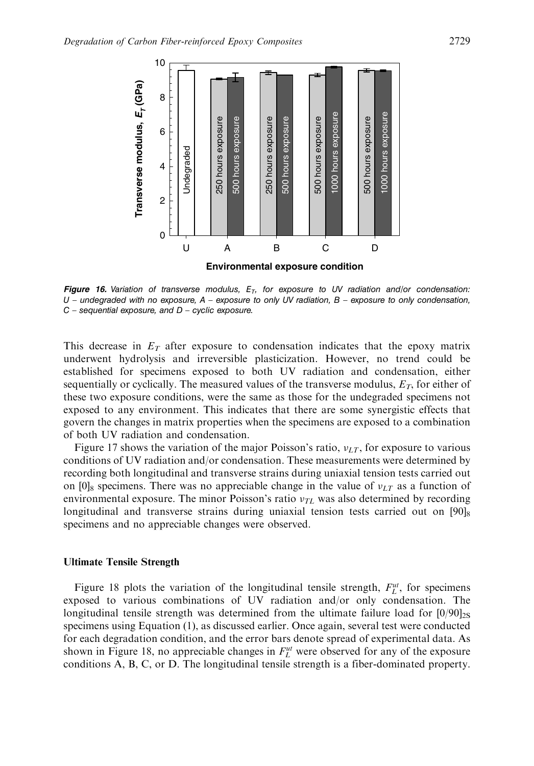

Figure 16. Variation of transverse modulus,  $E_T$ , for exposure to UV radiation and/or condensation:  $U$  – undegraded with no exposure,  $A$  – exposure to only UV radiation,  $B$  – exposure to only condensation,  $C$  – sequential exposure, and  $D$  – cyclic exposure.

This decrease in  $E<sub>T</sub>$  after exposure to condensation indicates that the epoxy matrix underwent hydrolysis and irreversible plasticization. However, no trend could be established for specimens exposed to both UV radiation and condensation, either sequentially or cyclically. The measured values of the transverse modulus,  $E_T$ , for either of these two exposure conditions, were the same as those for the undegraded specimens not exposed to any environment. This indicates that there are some synergistic effects that govern the changes in matrix properties when the specimens are exposed to a combination of both UV radiation and condensation.

Figure 17 shows the variation of the major Poisson's ratio,  $v_{LT}$ , for exposure to various conditions of UV radiation and/or condensation. These measurements were determined by recording both longitudinal and transverse strains during uniaxial tension tests carried out on  $[0]_8$  specimens. There was no appreciable change in the value of  $v_{LT}$  as a function of environmental exposure. The minor Poisson's ratio  $v_{TL}$  was also determined by recording longitudinal and transverse strains during uniaxial tension tests carried out on  $[90]_8$ specimens and no appreciable changes were observed.

#### Ultimate Tensile Strength

Figure 18 plots the variation of the longitudinal tensile strength,  $F_L^{ut}$ , for specimens exposed to various combinations of UV radiation and/or only condensation. The longitudinal tensile strength was determined from the ultimate failure load for  $[0/90]_{2S}$ specimens using Equation (1), as discussed earlier. Once again, several test were conducted for each degradation condition, and the error bars denote spread of experimental data. As shown in Figure 18, no appreciable changes in  $F_L^{\mu\nu}$  were observed for any of the exposure conditions A, B, C, or D. The longitudinal tensile strength is a fiber-dominated property.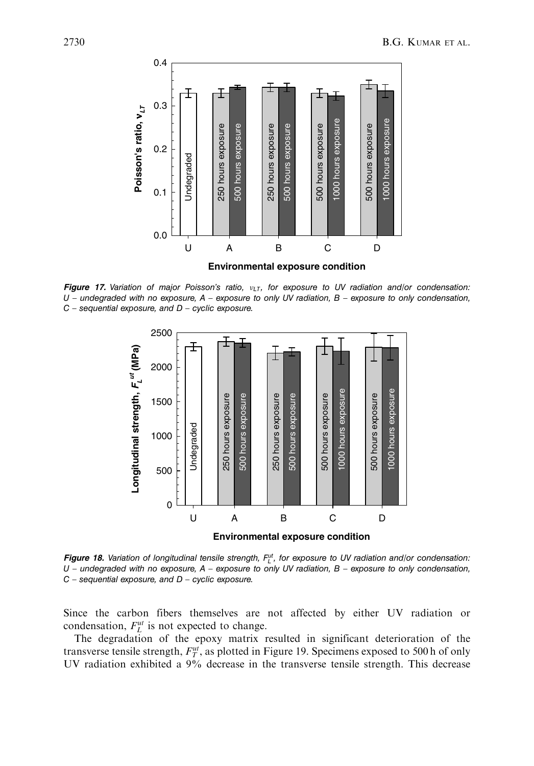

Figure 17. Variation of major Poisson's ratio,  $v_{LT}$ , for exposure to UV radiation and/or condensation:  $U$  – undegraded with no exposure,  $A$  – exposure to only UV radiation,  $B$  – exposure to only condensation,  $C$  – sequential exposure, and  $D$  – cyclic exposure.



Figure 18. Variation of longitudinal tensile strength,  $F_L^{ut}$ , for exposure to UV radiation and/or condensation:  $U$  – undegraded with no exposure,  $A$  – exposure to only UV radiation,  $B$  – exposure to only condensation,  $C$  – sequential exposure, and  $D$  – cyclic exposure.

Since the carbon fibers themselves are not affected by either UV radiation or condensation,  $F_L^{ut}$  is not expected to change.

The degradation of the epoxy matrix resulted in significant deterioration of the transverse tensile strength,  $F_T^{ut}$ , as plotted in Figure 19. Specimens exposed to 500 h of only UV radiation exhibited a 9% decrease in the transverse tensile strength. This decrease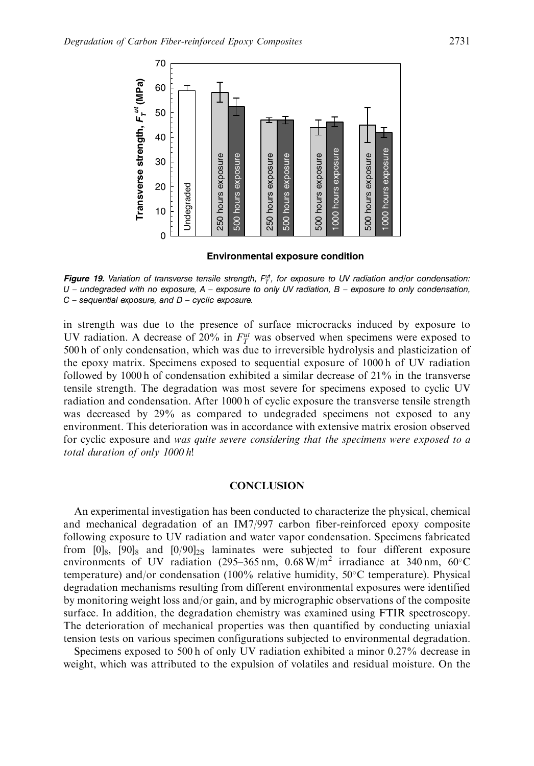

**Environmental exposure condition**

**Figure 19.** Variation of transverse tensile strength,  $F_T^u$ , for exposure to UV radiation and/or condensation:  $U$  – undegraded with no exposure,  $A$  – exposure to only UV radiation,  $B$  – exposure to only condensation,  $C$  – sequential exposure, and  $D$  – cyclic exposure.

in strength was due to the presence of surface microcracks induced by exposure to UV radiation. A decrease of 20% in  $F_T^{ut}$  was observed when specimens were exposed to 500 h of only condensation, which was due to irreversible hydrolysis and plasticization of the epoxy matrix. Specimens exposed to sequential exposure of 1000 h of UV radiation followed by 1000 h of condensation exhibited a similar decrease of 21% in the transverse tensile strength. The degradation was most severe for specimens exposed to cyclic UV radiation and condensation. After 1000 h of cyclic exposure the transverse tensile strength was decreased by 29% as compared to undegraded specimens not exposed to any environment. This deterioration was in accordance with extensive matrix erosion observed for cyclic exposure and was quite severe considering that the specimens were exposed to a total duration of only 1000 h!

### **CONCLUSION**

An experimental investigation has been conducted to characterize the physical, chemical and mechanical degradation of an IM7/997 carbon fiber-reinforced epoxy composite following exposure to UV radiation and water vapor condensation. Specimens fabricated from  $[0]_8$ ,  $[90]_8$  and  $[0/90]_{2S}$  laminates were subjected to four different exposure environments of UV radiation (295–365 nm, 0.68 W/m<sup>2</sup> irradiance at 340 nm, 60°C temperature) and/or condensation (100% relative humidity,  $50^{\circ}$ C temperature). Physical degradation mechanisms resulting from different environmental exposures were identified by monitoring weight loss and/or gain, and by micrographic observations of the composite surface. In addition, the degradation chemistry was examined using FTIR spectroscopy. The deterioration of mechanical properties was then quantified by conducting uniaxial tension tests on various specimen configurations subjected to environmental degradation.

Specimens exposed to 500 h of only UV radiation exhibited a minor 0.27% decrease in weight, which was attributed to the expulsion of volatiles and residual moisture. On the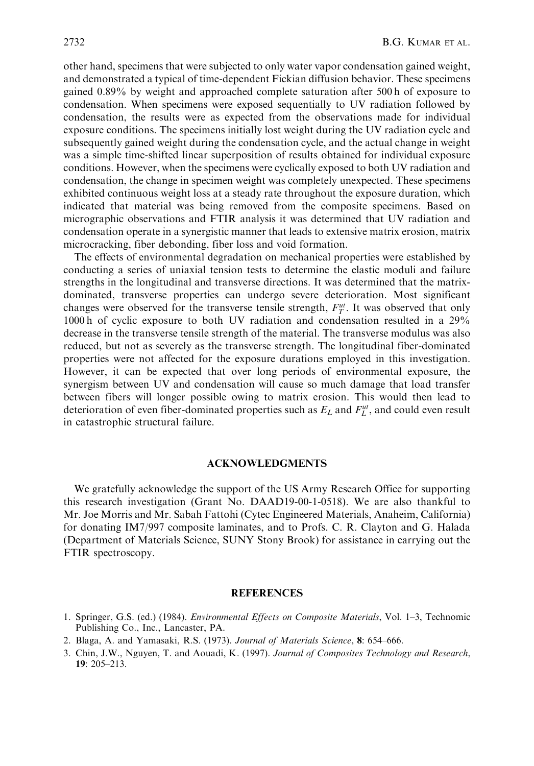other hand, specimens that were subjected to only water vapor condensation gained weight, and demonstrated a typical of time-dependent Fickian diffusion behavior. These specimens gained 0.89% by weight and approached complete saturation after 500 h of exposure to condensation. When specimens were exposed sequentially to UV radiation followed by condensation, the results were as expected from the observations made for individual exposure conditions. The specimens initially lost weight during the UV radiation cycle and subsequently gained weight during the condensation cycle, and the actual change in weight was a simple time-shifted linear superposition of results obtained for individual exposure conditions. However, when the specimens were cyclically exposed to both UV radiation and condensation, the change in specimen weight was completely unexpected. These specimens exhibited continuous weight loss at a steady rate throughout the exposure duration, which indicated that material was being removed from the composite specimens. Based on micrographic observations and FTIR analysis it was determined that UV radiation and condensation operate in a synergistic manner that leads to extensive matrix erosion, matrix microcracking, fiber debonding, fiber loss and void formation.

The effects of environmental degradation on mechanical properties were established by conducting a series of uniaxial tension tests to determine the elastic moduli and failure strengths in the longitudinal and transverse directions. It was determined that the matrixdominated, transverse properties can undergo severe deterioration. Most significant changes were observed for the transverse tensile strength,  $F_T^{ut}$ . It was observed that only 1000 h of cyclic exposure to both UV radiation and condensation resulted in a 29% decrease in the transverse tensile strength of the material. The transverse modulus was also reduced, but not as severely as the transverse strength. The longitudinal fiber-dominated properties were not affected for the exposure durations employed in this investigation. However, it can be expected that over long periods of environmental exposure, the synergism between UV and condensation will cause so much damage that load transfer between fibers will longer possible owing to matrix erosion. This would then lead to deterioration of even fiber-dominated properties such as  $E_L$  and  $F_L^{ut}$ , and could even result in catastrophic structural failure.

## ACKNOWLEDGMENTS

We gratefully acknowledge the support of the US Army Research Office for supporting this research investigation (Grant No. DAAD19-00-1-0518). We are also thankful to Mr. Joe Morris and Mr. Sabah Fattohi (Cytec Engineered Materials, Anaheim, California) for donating IM7/997 composite laminates, and to Profs. C. R. Clayton and G. Halada (Department of Materials Science, SUNY Stony Brook) for assistance in carrying out the FTIR spectroscopy.

### REFERENCES

- 1. Springer, G.S. (ed.) (1984). Environmental Effects on Composite Materials, Vol. 1–3, Technomic Publishing Co., Inc., Lancaster, PA.
- 2. Blaga, A. and Yamasaki, R.S. (1973). Journal of Materials Science, 8: 654–666.
- 3. Chin, J.W., Nguyen, T. and Aouadi, K. (1997). Journal of Composites Technology and Research, 19: 205–213.